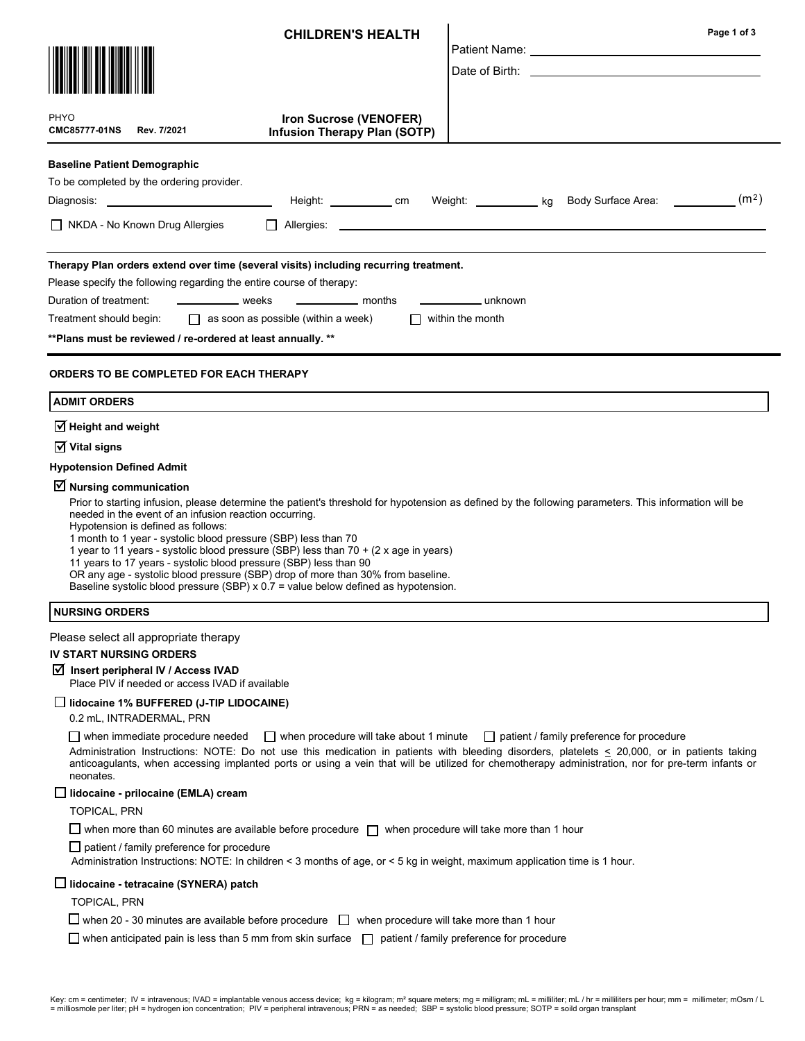|                                                                                                                                                                                                                                                                                                          | <b>CHILDREN'S HEALTH</b>                                                                                                                                                                                                                                      | Page 1 of 3                                                                                                                                                                                                                                                                                                                                           |
|----------------------------------------------------------------------------------------------------------------------------------------------------------------------------------------------------------------------------------------------------------------------------------------------------------|---------------------------------------------------------------------------------------------------------------------------------------------------------------------------------------------------------------------------------------------------------------|-------------------------------------------------------------------------------------------------------------------------------------------------------------------------------------------------------------------------------------------------------------------------------------------------------------------------------------------------------|
|                                                                                                                                                                                                                                                                                                          |                                                                                                                                                                                                                                                               | Patient Name: University of Patient Name: University of Patient Allen and Allen Allen Allen Allen Allen Allen                                                                                                                                                                                                                                         |
|                                                                                                                                                                                                                                                                                                          |                                                                                                                                                                                                                                                               |                                                                                                                                                                                                                                                                                                                                                       |
| PHYO<br><b>CMC85777-01NS</b><br>Rev. 7/2021                                                                                                                                                                                                                                                              | Iron Sucrose (VENOFER)<br><b>Infusion Therapy Plan (SOTP)</b>                                                                                                                                                                                                 |                                                                                                                                                                                                                                                                                                                                                       |
| <b>Baseline Patient Demographic</b>                                                                                                                                                                                                                                                                      |                                                                                                                                                                                                                                                               |                                                                                                                                                                                                                                                                                                                                                       |
| To be completed by the ordering provider.                                                                                                                                                                                                                                                                |                                                                                                                                                                                                                                                               | Height: ____________ cm Weight: ___________ kg Body Surface Area: __________ (m <sup>2</sup> )                                                                                                                                                                                                                                                        |
| $\Box$ NKDA - No Known Drug Allergies                                                                                                                                                                                                                                                                    |                                                                                                                                                                                                                                                               |                                                                                                                                                                                                                                                                                                                                                       |
| Therapy Plan orders extend over time (several visits) including recurring treatment.<br>Please specify the following regarding the entire course of therapy:<br>$\frac{1}{2}$ weeks<br>Duration of treatment:<br>Treatment should begin:<br>** Plans must be reviewed / re-ordered at least annually. ** | months<br>$\Box$ as soon as possible (within a week)                                                                                                                                                                                                          | unknown<br>$\Box$ within the month                                                                                                                                                                                                                                                                                                                    |
| <b>ORDERS TO BE COMPLETED FOR EACH THERAPY</b>                                                                                                                                                                                                                                                           |                                                                                                                                                                                                                                                               |                                                                                                                                                                                                                                                                                                                                                       |
| <b>ADMIT ORDERS</b>                                                                                                                                                                                                                                                                                      |                                                                                                                                                                                                                                                               |                                                                                                                                                                                                                                                                                                                                                       |
| $\overline{\mathbf{y}}$ Height and weight                                                                                                                                                                                                                                                                |                                                                                                                                                                                                                                                               |                                                                                                                                                                                                                                                                                                                                                       |
| $\overline{M}$ Vital signs                                                                                                                                                                                                                                                                               |                                                                                                                                                                                                                                                               |                                                                                                                                                                                                                                                                                                                                                       |
| <b>Hypotension Defined Admit</b><br>$\triangledown$ Nursing communication                                                                                                                                                                                                                                |                                                                                                                                                                                                                                                               |                                                                                                                                                                                                                                                                                                                                                       |
| needed in the event of an infusion reaction occurring.<br>Hypotension is defined as follows:<br>1 month to 1 year - systolic blood pressure (SBP) less than 70<br>11 years to 17 years - systolic blood pressure (SBP) less than 90                                                                      | 1 year to 11 years - systolic blood pressure (SBP) less than 70 + (2 x age in years)<br>OR any age - systolic blood pressure (SBP) drop of more than 30% from baseline.<br>Baseline systolic blood pressure (SBP) x 0.7 = value below defined as hypotension. | Prior to starting infusion, please determine the patient's threshold for hypotension as defined by the following parameters. This information will be                                                                                                                                                                                                 |
| <b>NURSING ORDERS</b>                                                                                                                                                                                                                                                                                    |                                                                                                                                                                                                                                                               |                                                                                                                                                                                                                                                                                                                                                       |
| Please select all appropriate therapy                                                                                                                                                                                                                                                                    |                                                                                                                                                                                                                                                               |                                                                                                                                                                                                                                                                                                                                                       |
| <b>IV START NURSING ORDERS</b>                                                                                                                                                                                                                                                                           |                                                                                                                                                                                                                                                               |                                                                                                                                                                                                                                                                                                                                                       |
| Insert peripheral IV / Access IVAD<br>Place PIV if needed or access IVAD if available                                                                                                                                                                                                                    |                                                                                                                                                                                                                                                               |                                                                                                                                                                                                                                                                                                                                                       |
| $\Box$ lidocaine 1% BUFFERED (J-TIP LIDOCAINE)<br>0.2 mL, INTRADERMAL, PRN                                                                                                                                                                                                                               |                                                                                                                                                                                                                                                               |                                                                                                                                                                                                                                                                                                                                                       |
| $\Box$ when immediate procedure needed<br>neonates.                                                                                                                                                                                                                                                      | $\Box$ when procedure will take about 1 minute                                                                                                                                                                                                                | $\Box$ patient / family preference for procedure<br>Administration Instructions: NOTE: Do not use this medication in patients with bleeding disorders, platelets < 20,000, or in patients taking<br>anticoagulants, when accessing implanted ports or using a vein that will be utilized for chemotherapy administration, nor for pre-term infants or |
| _  lidocaine - prilocaine (EMLA) cream                                                                                                                                                                                                                                                                   |                                                                                                                                                                                                                                                               |                                                                                                                                                                                                                                                                                                                                                       |
| <b>TOPICAL, PRN</b>                                                                                                                                                                                                                                                                                      |                                                                                                                                                                                                                                                               |                                                                                                                                                                                                                                                                                                                                                       |
|                                                                                                                                                                                                                                                                                                          | when more than 60 minutes are available before procedure $\Box$ when procedure will take more than 1 hour                                                                                                                                                     |                                                                                                                                                                                                                                                                                                                                                       |
| $\Box$ patient / family preference for procedure                                                                                                                                                                                                                                                         | Administration Instructions: NOTE: In children < 3 months of age, or < 5 kg in weight, maximum application time is 1 hour.                                                                                                                                    |                                                                                                                                                                                                                                                                                                                                                       |
| $\Box$ lidocaine - tetracaine (SYNERA) patch                                                                                                                                                                                                                                                             |                                                                                                                                                                                                                                                               |                                                                                                                                                                                                                                                                                                                                                       |
| <b>TOPICAL, PRN</b>                                                                                                                                                                                                                                                                                      |                                                                                                                                                                                                                                                               |                                                                                                                                                                                                                                                                                                                                                       |
|                                                                                                                                                                                                                                                                                                          | $\Box$ when 20 - 30 minutes are available before procedure $\Box$ when procedure will take more than 1 hour                                                                                                                                                   |                                                                                                                                                                                                                                                                                                                                                       |
|                                                                                                                                                                                                                                                                                                          | when anticipated pain is less than 5 mm from skin surface $\Box$ patient / family preference for procedure                                                                                                                                                    |                                                                                                                                                                                                                                                                                                                                                       |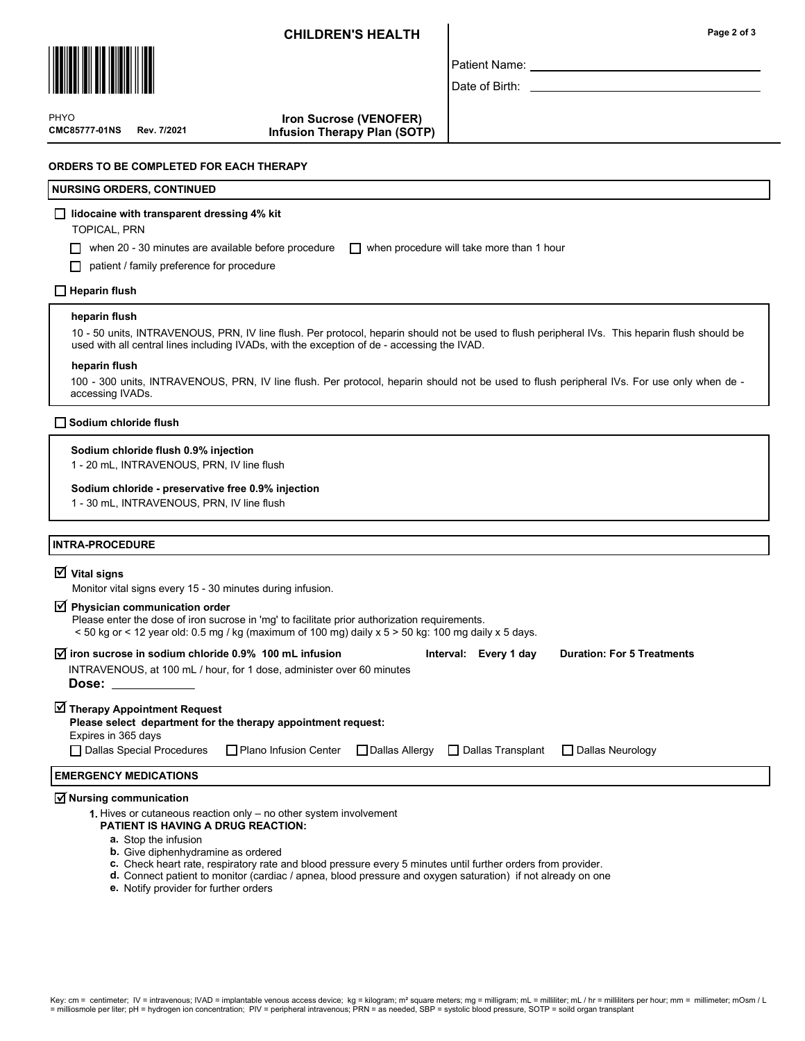## CHILDREN'S HEALTH



PHYO

CMC85777-01NS Rev. 7/2021

Patient Name:

Date of Birth:

#### Iron Sucrose (VENOFER) Infusion Therapy Plan (SOTP)

## ORDERS TO BE COMPLETED FOR EACH THERAPY

### NURSING ORDERS, CONTINUED

### $\Box$  lidocaine with transparent dressing 4% kit

TOPICAL, PRN

when 20 - 30 minutes are available before procedure  $\Box$  when procedure will take more than 1 hour

patient / family preference for procedure

### $\Box$  Heparin flush

#### heparin flush

10 - 50 units, INTRAVENOUS, PRN, IV line flush. Per protocol, heparin should not be used to flush peripheral IVs. This heparin flush should be used with all central lines including IVADs, with the exception of de - accessing the IVAD.

#### heparin flush

100 - 300 units, INTRAVENOUS, PRN, IV line flush. Per protocol, heparin should not be used to flush peripheral IVs. For use only when de accessing IVADs.

#### Sodium chloride flush

#### Sodium chloride flush 0.9% injection

1 - 20 mL, INTRAVENOUS, PRN, IV line flush

#### Sodium chloride - preservative free 0.9% injection

1 - 30 mL, INTRAVENOUS, PRN, IV line flush

### INTRA-PROCEDURE

# $\overline{\mathsf{V}}$  Vital signs

Monitor vital signs every 15 - 30 minutes during infusion.

# $\overline{\mathbf{y}}$  Physician communication order

- Please enter the dose of iron sucrose in 'mg' to facilitate prior authorization requirements.
- < 50 kg or < 12 year old: 0.5 mg / kg (maximum of 100 mg) daily x 5 > 50 kg: 100 mg daily x 5 days.

| $\overline{M}$ iron sucrose in sodium chloride 0.9% 100 mL infusion<br>INTRAVENOUS, at 100 mL / hour, for 1 dose, administer over 60 minutes<br>Dose: the contract of the contract of the contract of the contract of the contract of the contract of the contract of the contract of the contract of the contract of the contract of the contract of the contract of the cont |  |  | Interval: Every 1 day | <b>Duration: For 5 Treatments</b> |  |
|--------------------------------------------------------------------------------------------------------------------------------------------------------------------------------------------------------------------------------------------------------------------------------------------------------------------------------------------------------------------------------|--|--|-----------------------|-----------------------------------|--|
| ■ Therapy Appointment Request<br>Please select department for the therapy appointment request:<br>Expires in 365 days                                                                                                                                                                                                                                                          |  |  |                       |                                   |  |
| □ Dallas Special Procedures □ Plano Infusion Center □ Dallas Allergy □ Dallas Transplant                                                                                                                                                                                                                                                                                       |  |  |                       | Dallas Neurology                  |  |
| <b>EMERGENCY MEDICATIONS</b>                                                                                                                                                                                                                                                                                                                                                   |  |  |                       |                                   |  |
|                                                                                                                                                                                                                                                                                                                                                                                |  |  |                       |                                   |  |

# $\overline{\triangleleft}$  Nursing communication

1. Hives or cutaneous reaction only – no other system involvement

#### PATIENT IS HAVING A DRUG REACTION:

- a. Stop the infusion
- b. Give diphenhydramine as ordered
- c. Check heart rate, respiratory rate and blood pressure every 5 minutes until further orders from provider.
- d. Connect patient to monitor (cardiac / apnea, blood pressure and oxygen saturation) if not already on one
- e. Notify provider for further orders